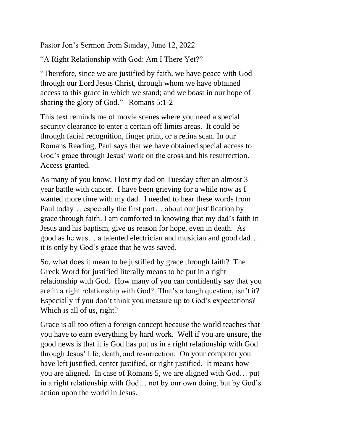Pastor Jon's Sermon from Sunday, June 12, 2022

"A Right Relationship with God: Am I There Yet?"

"Therefore, since we are justified by faith, we have peace with God through our Lord Jesus Christ, through whom we have obtained access to this grace in which we stand; and we boast in our hope of sharing the glory of God." Romans 5:1-2

This text reminds me of movie scenes where you need a special security clearance to enter a certain off limits areas. It could be through facial recognition, finger print, or a retina scan. In our Romans Reading, Paul says that we have obtained special access to God's grace through Jesus' work on the cross and his resurrection. Access granted.

As many of you know, I lost my dad on Tuesday after an almost 3 year battle with cancer. I have been grieving for a while now as I wanted more time with my dad. I needed to hear these words from Paul today… especially the first part… about our justification by grace through faith. I am comforted in knowing that my dad's faith in Jesus and his baptism, give us reason for hope, even in death. As good as he was… a talented electrician and musician and good dad… it is only by God's grace that he was saved.

So, what does it mean to be justified by grace through faith? The Greek Word for justified literally means to be put in a right relationship with God. How many of you can confidently say that you are in a right relationship with God? That's a tough question, isn't it? Especially if you don't think you measure up to God's expectations? Which is all of us, right?

Grace is all too often a foreign concept because the world teaches that you have to earn everything by hard work. Well if you are unsure, the good news is that it is God has put us in a right relationship with God through Jesus' life, death, and resurrection. On your computer you have left justified, center justified, or right justified. It means how you are aligned. In case of Romans 5, we are aligned with God… put in a right relationship with God… not by our own doing, but by God's action upon the world in Jesus.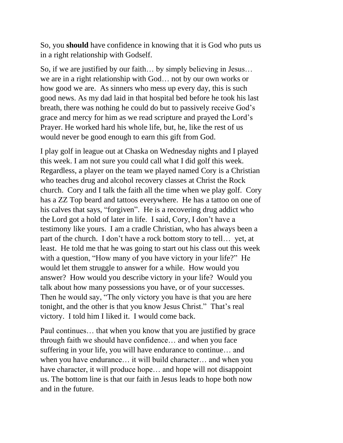So, you **should** have confidence in knowing that it is God who puts us in a right relationship with Godself.

So, if we are justified by our faith… by simply believing in Jesus… we are in a right relationship with God… not by our own works or how good we are. As sinners who mess up every day, this is such good news. As my dad laid in that hospital bed before he took his last breath, there was nothing he could do but to passively receive God's grace and mercy for him as we read scripture and prayed the Lord's Prayer. He worked hard his whole life, but, he, like the rest of us would never be good enough to earn this gift from God.

I play golf in league out at Chaska on Wednesday nights and I played this week. I am not sure you could call what I did golf this week. Regardless, a player on the team we played named Cory is a Christian who teaches drug and alcohol recovery classes at Christ the Rock church. Cory and I talk the faith all the time when we play golf. Cory has a ZZ Top beard and tattoos everywhere. He has a tattoo on one of his calves that says, "forgiven". He is a recovering drug addict who the Lord got a hold of later in life. I said, Cory, I don't have a testimony like yours. I am a cradle Christian, who has always been a part of the church. I don't have a rock bottom story to tell… yet, at least. He told me that he was going to start out his class out this week with a question, "How many of you have victory in your life?" He would let them struggle to answer for a while. How would you answer? How would you describe victory in your life? Would you talk about how many possessions you have, or of your successes. Then he would say, "The only victory you have is that you are here tonight, and the other is that you know Jesus Christ." That's real victory. I told him I liked it. I would come back.

Paul continues… that when you know that you are justified by grace through faith we should have confidence… and when you face suffering in your life, you will have endurance to continue… and when you have endurance… it will build character… and when you have character, it will produce hope... and hope will not disappoint us. The bottom line is that our faith in Jesus leads to hope both now and in the future.